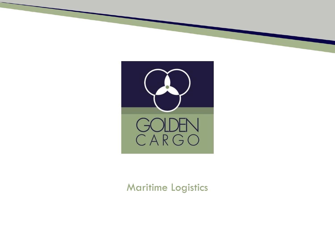

#### Maritime Logistics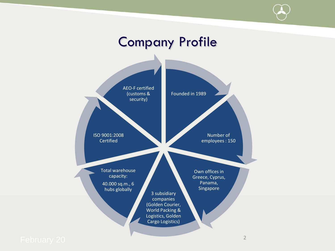#### Founded in 1989 Number of employees : 150 Own offices in Greece, Cyprus, Panama, Singapore 3 subsidiary companies (Golden Courier, World Packing & Logistics, Golden Cargo Logistics) Total warehouse capacity: 40.000 sq.m., 6 hubs globally ISO 9001:2008 Certified AEO-F certified (customs & security) February 20 <sup>2</sup> Company Profile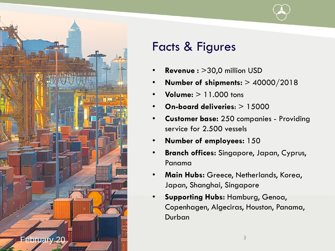



## Facts & Figures

- **Revenue :** >30,0 million USD
- **Number of shipments:** > 40000/2018
- **Volume:** > 11.000 tons
- **On-board deliveries**: > 15000
- **Customer base:** 250 companies Providing service for 2.500 vessels
- **Number of employees:** 150
- **Branch offices:** Singapore, Japan, Cyprus, Panama
- **Main Hubs:** Greece, Netherlands, Korea, Japan, Shanghai, Singapore
- **Supporting Hubs:** Hamburg, Genoa, Copenhagen, Algeciras, Houston, Panama, Durban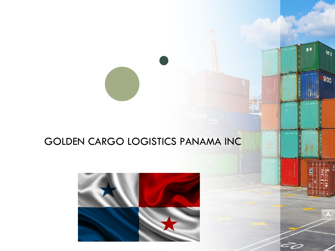#### GOLDEN CARGO LOGISTICS PANAMA INC

■ 層

 $\mu$  if

 $\mathbf{Q}_{\text{th}}$ 

seggo

F,

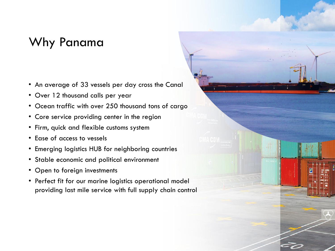## Why Panama

- An average of 33 vessels per day cross the Canal
- Over 12 thousand calls per year
- Ocean traffic with over 250 thousand tons of cargo
- Core service providing center in the region
- Firm, quick and flexible customs system
- Ease of access to vessels
- Emerging logistics HUB for neighboring countries
- Stable economic and political environment
- Open to foreign investments
- Perfect fit for our marine logistics operational model providing last mile service with full supply chain control

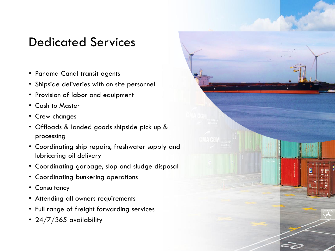### Dedicated Services

- Panama Canal transit agents
	- Shipside deliveries with on site personnel
	- Provision of labor and equipment
	- Cash to Master
	- Crew changes
	- Offloads & landed goods shipside pick up & processing
	- Coordinating ship repairs, freshwater supply and lubricating oil delivery
	- Coordinating garbage, slop and sludge disposal
	- Coordinating bunkering operations
	- Consultancy
	- Attending all owners requirements
	- Full range of freight forwarding services
	- 24/7/365 availability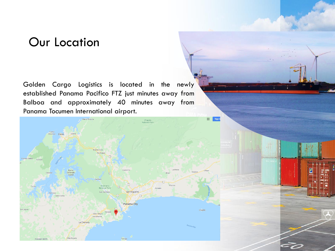#### Our Location

Golden Cargo Logistics is located in the newly established Panama Pacifico FTZ just minutes away from Balboa and approximately 40 minutes away from Panama Tocumen International airport.

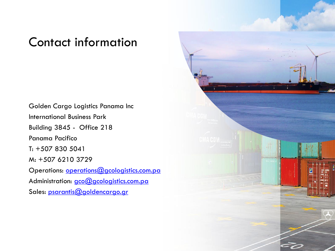#### Contact information

Golden Cargo Logistics Panama Inc International Business Park Building 3845 - Office 218 Panama Pacifico T: +507 830 5041 M: +507 6210 3729 Operations: [operations@gcologistics.com.pa](mailto:operations@gcologistics.com.pa) Administration: [gco@gcologistics.com.pa](mailto:gco@gcologistics.com.pa) Sales: [psarantis@goldencargo.gr](mailto:psarantis@goldencarg.gr)